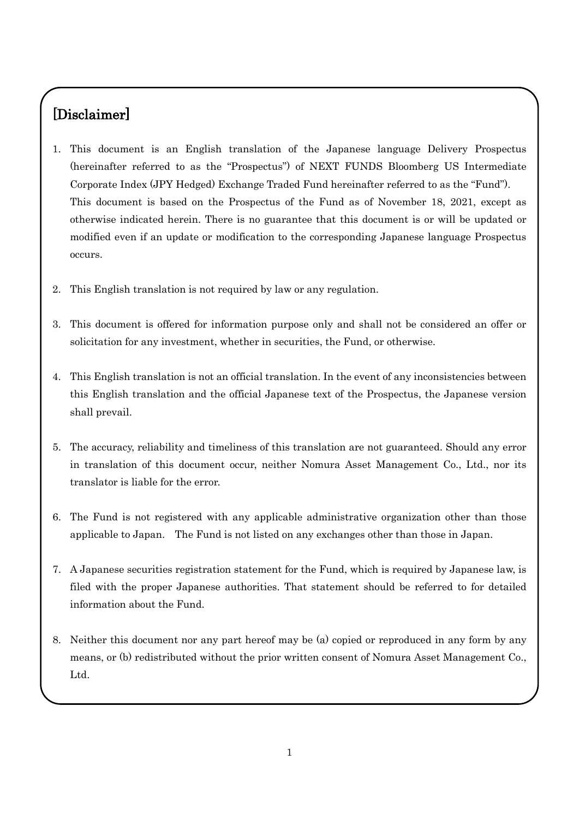# [Disclaimer]

- 1. This document is an English translation of the Japanese language Delivery Prospectus (hereinafter referred to as the "Prospectus") of NEXT FUNDS Bloomberg US Intermediate Corporate Index (JPY Hedged) Exchange Traded Fund hereinafter referred to as the "Fund"). This document is based on the Prospectus of the Fund as of November 18, 2021, except as otherwise indicated herein. There is no guarantee that this document is or will be updated or modified even if an update or modification to the corresponding Japanese language Prospectus occurs.
- 2. This English translation is not required by law or any regulation.
- 3. This document is offered for information purpose only and shall not be considered an offer or solicitation for any investment, whether in securities, the Fund, or otherwise.
- 4. This English translation is not an official translation. In the event of any inconsistencies between this English translation and the official Japanese text of the Prospectus, the Japanese version shall prevail.
- 5. The accuracy, reliability and timeliness of this translation are not guaranteed. Should any error in translation of this document occur, neither Nomura Asset Management Co., Ltd., nor its translator is liable for the error.
- 6. The Fund is not registered with any applicable administrative organization other than those applicable to Japan. The Fund is not listed on any exchanges other than those in Japan.
- 7. A Japanese securities registration statement for the Fund, which is required by Japanese law, is filed with the proper Japanese authorities. That statement should be referred to for detailed information about the Fund.
- 8. Neither this document nor any part hereof may be (a) copied or reproduced in any form by any means, or (b) redistributed without the prior written consent of Nomura Asset Management Co., Ltd.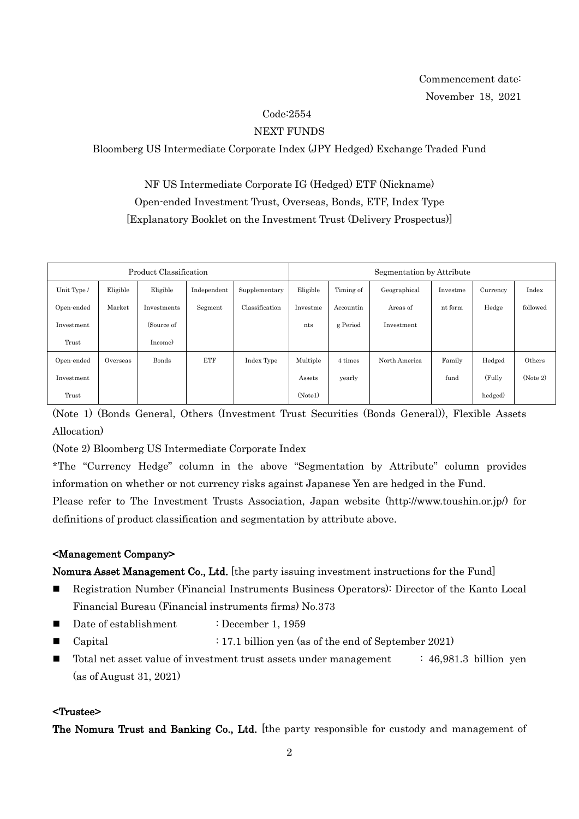# Code:2554

### NEXT FUNDS

Bloomberg US Intermediate Corporate Index (JPY Hedged) Exchange Traded Fund

NF US Intermediate Corporate IG (Hedged) ETF (Nickname) Open-ended Investment Trust, Overseas, Bonds, ETF, Index Type [Explanatory Booklet on the Investment Trust (Delivery Prospectus)]

| Product Classification |          |             |             | Segmentation by Attribute |          |           |               |          |          |          |
|------------------------|----------|-------------|-------------|---------------------------|----------|-----------|---------------|----------|----------|----------|
| Unit Type /            | Eligible | Eligible    | Independent | Supplementary             | Eligible | Timing of | Geographical  | Investme | Currency | Index    |
| Open-ended             | Market   | Investments | Segment     | Classification            | Investme | Accountin | Areas of      | nt form  | Hedge    | followed |
| Investment             |          | (Source of  |             |                           | nts      | g Period  | Investment    |          |          |          |
| Trust                  |          | Income)     |             |                           |          |           |               |          |          |          |
| Open-ended             | Overseas | Bonds       | <b>ETF</b>  | Index Type                | Multiple | 4 times   | North America | Family   | Hedged   | Others   |
| Investment             |          |             |             |                           | Assets   | yearly    |               | fund     | (Fully   | (Note 2) |
| Trust                  |          |             |             |                           | (Note1)  |           |               |          | hedged)  |          |

(Note 1) (Bonds General, Others (Investment Trust Securities (Bonds General)), Flexible Assets Allocation)

(Note 2) Bloomberg US Intermediate Corporate Index

\*The "Currency Hedge" column in the above "Segmentation by Attribute" column provides information on whether or not currency risks against Japanese Yen are hedged in the Fund.

Please refer to The Investment Trusts Association, Japan website (http://www.toushin.or.jp/) for definitions of product classification and segmentation by attribute above.

### <Management Company>

Nomura Asset Management Co., Ltd. [the party issuing investment instructions for the Fund]

- Registration Number (Financial Instruments Business Operators): Director of the Kanto Local Financial Bureau (Financial instruments firms) No.373
- Date of establishment : December 1, 1959
- Capital : 17.1 billion yen (as of the end of September 2021)
- Total net asset value of investment trust assets under management : 46,981.3 billion yen (as of August 31, 2021)

#### <Trustee>

The Nomura Trust and Banking Co., Ltd. [the party responsible for custody and management of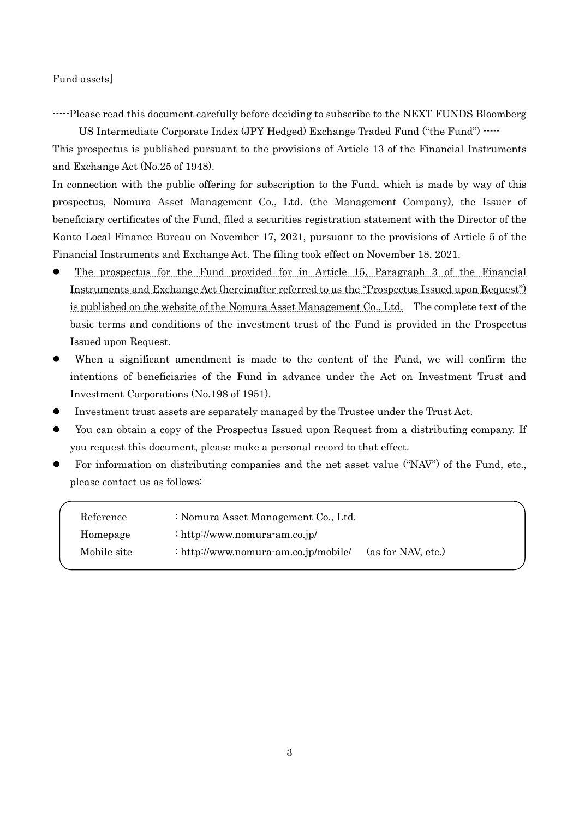Fund assets]

-----Please read this document carefully before deciding to subscribe to the NEXT FUNDS Bloomberg

US Intermediate Corporate Index (JPY Hedged) Exchange Traded Fund ("the Fund") -----

This prospectus is published pursuant to the provisions of Article 13 of the Financial Instruments and Exchange Act (No.25 of 1948).

In connection with the public offering for subscription to the Fund, which is made by way of this prospectus, Nomura Asset Management Co., Ltd. (the Management Company), the Issuer of beneficiary certificates of the Fund, filed a securities registration statement with the Director of the Kanto Local Finance Bureau on November 17, 2021, pursuant to the provisions of Article 5 of the Financial Instruments and Exchange Act. The filing took effect on November 18, 2021.

- The prospectus for the Fund provided for in Article 15, Paragraph 3 of the Financial Instruments and Exchange Act (hereinafter referred to as the "Prospectus Issued upon Request") is published on the website of the Nomura Asset Management Co., Ltd. The complete text of the basic terms and conditions of the investment trust of the Fund is provided in the Prospectus Issued upon Request.
- When a significant amendment is made to the content of the Fund, we will confirm the intentions of beneficiaries of the Fund in advance under the Act on Investment Trust and Investment Corporations (No.198 of 1951).
- Investment trust assets are separately managed by the Trustee under the Trust Act.
- You can obtain a copy of the Prospectus Issued upon Request from a distributing company. If you request this document, please make a personal record to that effect.
- For information on distributing companies and the net asset value ("NAV") of the Fund, etc., please contact us as follows:

| Reference   | : Nomura Asset Management Co., Ltd.  |                    |
|-------------|--------------------------------------|--------------------|
| Homepage    | : http://www.nomura-am.co.jp/        |                    |
| Mobile site | : http://www.nomura-am.co.jp/mobile/ | (as for NAV, etc.) |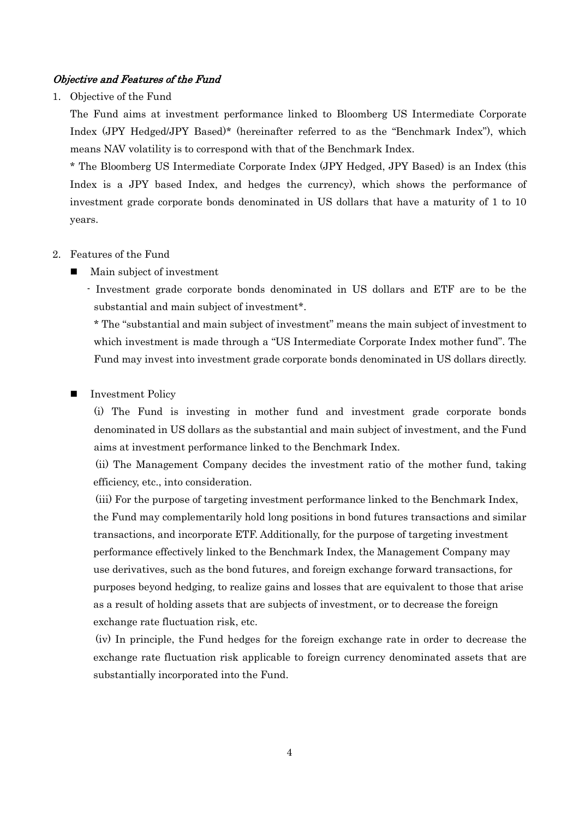#### Objective and Features of the Fund

1. Objective of the Fund

The Fund aims at investment performance linked to Bloomberg US Intermediate Corporate Index (JPY Hedged/JPY Based)\* (hereinafter referred to as the "Benchmark Index"), which means NAV volatility is to correspond with that of the Benchmark Index.

\* The Bloomberg US Intermediate Corporate Index (JPY Hedged, JPY Based) is an Index (this Index is a JPY based Index, and hedges the currency), which shows the performance of investment grade corporate bonds denominated in US dollars that have a maturity of 1 to 10 years.

#### 2. Features of the Fund

Main subject of investment

- Investment grade corporate bonds denominated in US dollars and ETF are to be the substantial and main subject of investment\*.

\* The "substantial and main subject of investment" means the main subject of investment to which investment is made through a "US Intermediate Corporate Index mother fund". The Fund may invest into investment grade corporate bonds denominated in US dollars directly.

#### Investment Policy

(i) The Fund is investing in mother fund and investment grade corporate bonds denominated in US dollars as the substantial and main subject of investment, and the Fund aims at investment performance linked to the Benchmark Index.

(ii) The Management Company decides the investment ratio of the mother fund, taking efficiency, etc., into consideration.

(iii) For the purpose of targeting investment performance linked to the Benchmark Index, the Fund may complementarily hold long positions in bond futures transactions and similar transactions, and incorporate ETF. Additionally, for the purpose of targeting investment performance effectively linked to the Benchmark Index, the Management Company may use derivatives, such as the bond futures, and foreign exchange forward transactions, for purposes beyond hedging, to realize gains and losses that are equivalent to those that arise as a result of holding assets that are subjects of investment, or to decrease the foreign exchange rate fluctuation risk, etc.

(iv) In principle, the Fund hedges for the foreign exchange rate in order to decrease the exchange rate fluctuation risk applicable to foreign currency denominated assets that are substantially incorporated into the Fund.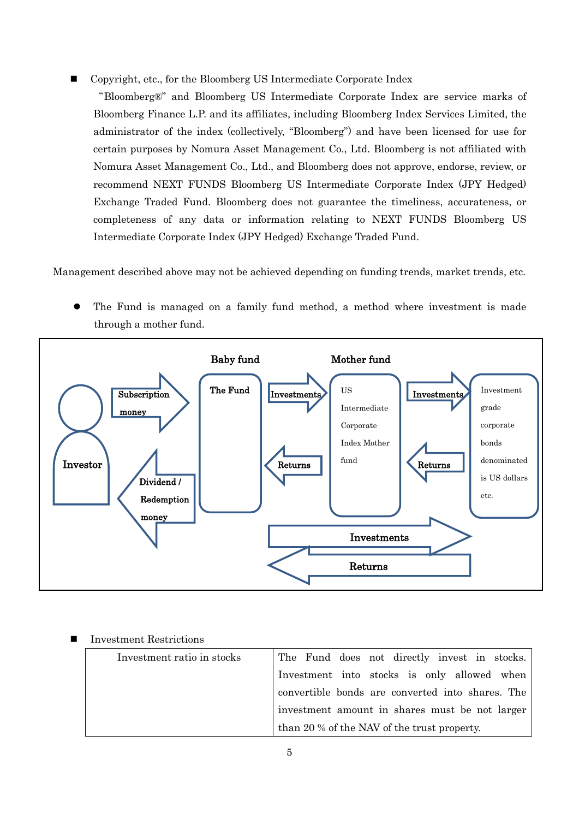Copyright, etc., for the Bloomberg US Intermediate Corporate Index

"Bloomberg®" and Bloomberg US Intermediate Corporate Index are service marks of Bloomberg Finance L.P. and its affiliates, including Bloomberg Index Services Limited, the administrator of the index (collectively, "Bloomberg") and have been licensed for use for certain purposes by Nomura Asset Management Co., Ltd. Bloomberg is not affiliated with Nomura Asset Management Co., Ltd., and Bloomberg does not approve, endorse, review, or recommend NEXT FUNDS Bloomberg US Intermediate Corporate Index (JPY Hedged) Exchange Traded Fund. Bloomberg does not guarantee the timeliness, accurateness, or completeness of any data or information relating to NEXT FUNDS Bloomberg US Intermediate Corporate Index (JPY Hedged) Exchange Traded Fund.

Management described above may not be achieved depending on funding trends, market trends, etc.

 The Fund is managed on a family fund method, a method where investment is made through a mother fund.



#### Investment Restrictions

| Investment ratio in stocks | The Fund does not directly invest in stocks.     |
|----------------------------|--------------------------------------------------|
|                            | Investment into stocks is only allowed when      |
|                            | convertible bonds are converted into shares. The |
|                            | investment amount in shares must be not larger   |
|                            | than 20 % of the NAV of the trust property.      |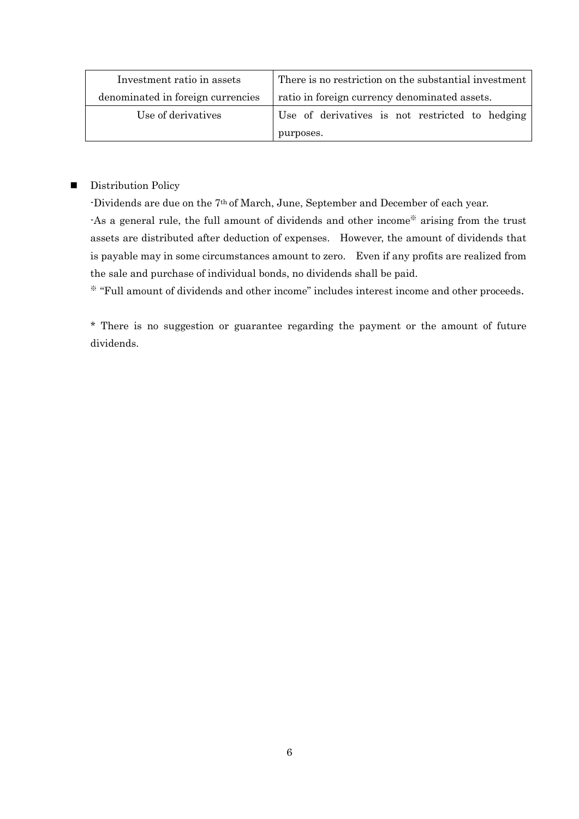| Investment ratio in assets        | There is no restriction on the substantial investment |  |  |  |
|-----------------------------------|-------------------------------------------------------|--|--|--|
| denominated in foreign currencies | ratio in foreign currency denominated assets.         |  |  |  |
| Use of derivatives                | Use of derivatives is not restricted to hedging       |  |  |  |
|                                   | purposes.                                             |  |  |  |

### **Distribution Policy**

-Dividends are due on the 7th of March, June, September and December of each year.

-As a general rule, the full amount of dividends and other income※ arising from the trust assets are distributed after deduction of expenses. However, the amount of dividends that is payable may in some circumstances amount to zero. Even if any profits are realized from the sale and purchase of individual bonds, no dividends shall be paid.

※ "Full amount of dividends and other income" includes interest income and other proceeds.

\* There is no suggestion or guarantee regarding the payment or the amount of future dividends.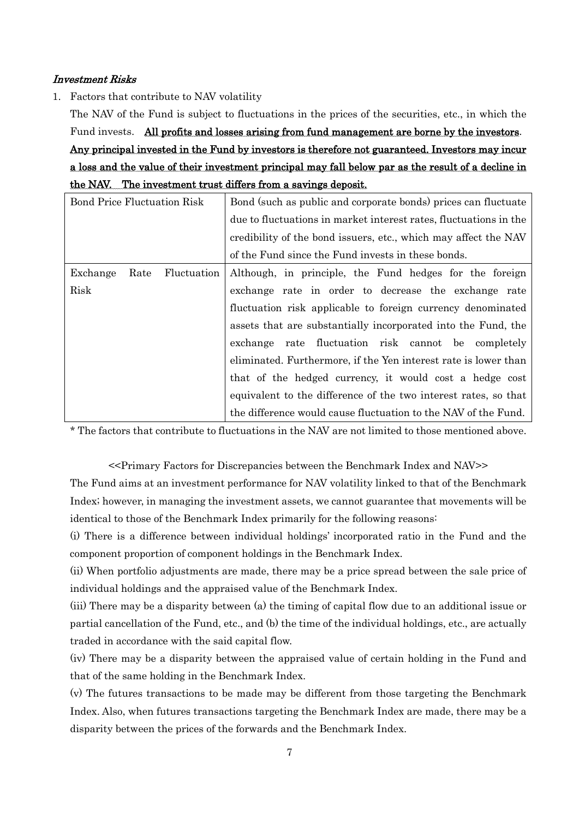#### Investment Risks

1. Factors that contribute to NAV volatility

The NAV of the Fund is subject to fluctuations in the prices of the securities, etc., in which the Fund invests. All profits and losses arising from fund management are borne by the investors. Any principal invested in the Fund by investors is therefore not guaranteed. Investors may incur a loss and the value of their investment principal may fall below par as the result of a decline in the NAV. The investment trust differs from a savings deposit.

| <b>Bond Price Fluctuation Risk</b> | Bond (such as public and corporate bonds) prices can fluctuate    |  |  |
|------------------------------------|-------------------------------------------------------------------|--|--|
|                                    | due to fluctuations in market interest rates, fluctuations in the |  |  |
|                                    | credibility of the bond issuers, etc., which may affect the NAV   |  |  |
|                                    | of the Fund since the Fund invests in these bonds.                |  |  |
| Exchange<br>Fluctuation<br>Rate    | Although, in principle, the Fund hedges for the foreign           |  |  |
| Risk                               | exchange rate in order to decrease the exchange rate              |  |  |
|                                    | fluctuation risk applicable to foreign currency denominated       |  |  |
|                                    | assets that are substantially incorporated into the Fund, the     |  |  |
|                                    | rate fluctuation risk cannot be completely<br>exchange            |  |  |
|                                    | eliminated. Furthermore, if the Yen interest rate is lower than   |  |  |
|                                    | that of the hedged currency, it would cost a hedge cost           |  |  |
|                                    | equivalent to the difference of the two interest rates, so that   |  |  |
|                                    | the difference would cause fluctuation to the NAV of the Fund.    |  |  |

\* The factors that contribute to fluctuations in the NAV are not limited to those mentioned above.

<<Primary Factors for Discrepancies between the Benchmark Index and NAV>>

The Fund aims at an investment performance for NAV volatility linked to that of the Benchmark Index; however, in managing the investment assets, we cannot guarantee that movements will be identical to those of the Benchmark Index primarily for the following reasons:

(i) There is a difference between individual holdings' incorporated ratio in the Fund and the component proportion of component holdings in the Benchmark Index.

(ii) When portfolio adjustments are made, there may be a price spread between the sale price of individual holdings and the appraised value of the Benchmark Index.

(iii) There may be a disparity between (a) the timing of capital flow due to an additional issue or partial cancellation of the Fund, etc., and (b) the time of the individual holdings, etc., are actually traded in accordance with the said capital flow.

(iv) There may be a disparity between the appraised value of certain holding in the Fund and that of the same holding in the Benchmark Index.

(v) The futures transactions to be made may be different from those targeting the Benchmark Index. Also, when futures transactions targeting the Benchmark Index are made, there may be a disparity between the prices of the forwards and the Benchmark Index.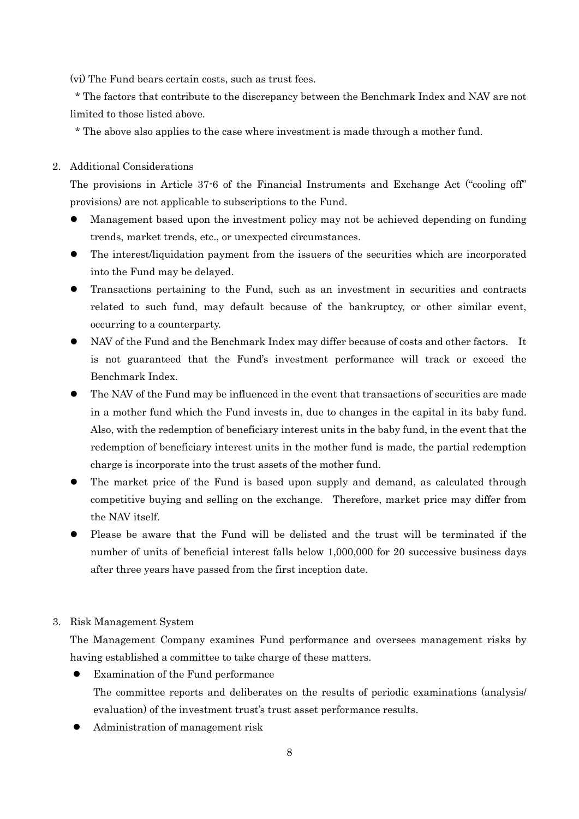(vi) The Fund bears certain costs, such as trust fees.

\* The factors that contribute to the discrepancy between the Benchmark Index and NAV are not limited to those listed above.

\* The above also applies to the case where investment is made through a mother fund.

#### 2. Additional Considerations

The provisions in Article 37-6 of the Financial Instruments and Exchange Act ("cooling off" provisions) are not applicable to subscriptions to the Fund.

- Management based upon the investment policy may not be achieved depending on funding trends, market trends, etc., or unexpected circumstances.
- The interest/liquidation payment from the issuers of the securities which are incorporated into the Fund may be delayed.
- Transactions pertaining to the Fund, such as an investment in securities and contracts related to such fund, may default because of the bankruptcy, or other similar event, occurring to a counterparty.
- NAV of the Fund and the Benchmark Index may differ because of costs and other factors. It is not guaranteed that the Fund's investment performance will track or exceed the Benchmark Index.
- The NAV of the Fund may be influenced in the event that transactions of securities are made in a mother fund which the Fund invests in, due to changes in the capital in its baby fund. Also, with the redemption of beneficiary interest units in the baby fund, in the event that the redemption of beneficiary interest units in the mother fund is made, the partial redemption charge is incorporate into the trust assets of the mother fund.
- The market price of the Fund is based upon supply and demand, as calculated through competitive buying and selling on the exchange. Therefore, market price may differ from the NAV itself.
- Please be aware that the Fund will be delisted and the trust will be terminated if the number of units of beneficial interest falls below 1,000,000 for 20 successive business days after three years have passed from the first inception date.

#### 3. Risk Management System

The Management Company examines Fund performance and oversees management risks by having established a committee to take charge of these matters.

- Examination of the Fund performance The committee reports and deliberates on the results of periodic examinations (analysis/ evaluation) of the investment trust's trust asset performance results.
- Administration of management risk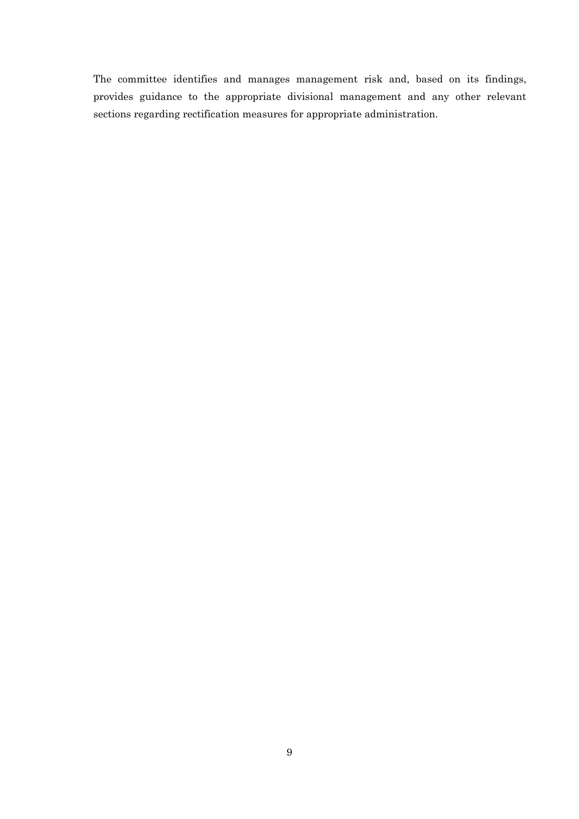The committee identifies and manages management risk and, based on its findings, provides guidance to the appropriate divisional management and any other relevant sections regarding rectification measures for appropriate administration.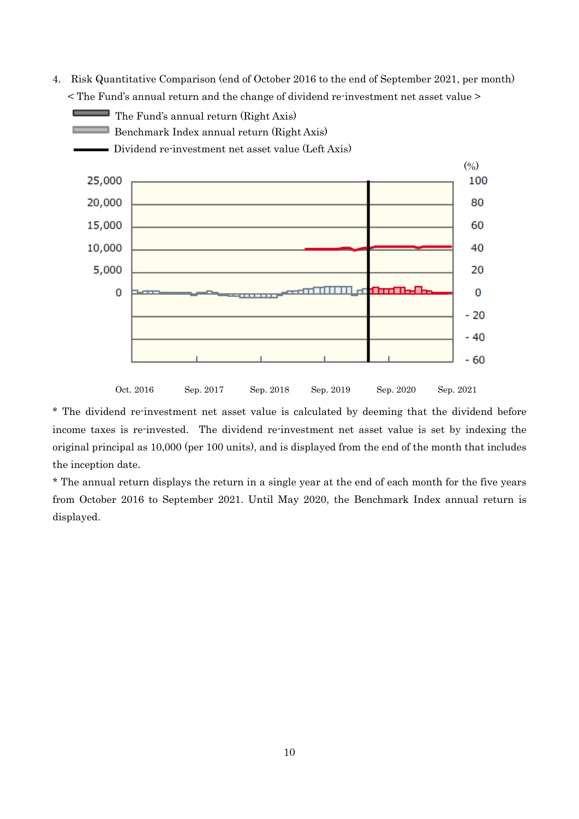4. Risk Quantitative Comparison (end of October 2016 to the end of September 2021, per month) < The Fund's annual return and the change of dividend re-investment net asset value >



\* The dividend re-investment net asset value is calculated by deeming that the dividend before income taxes is re-invested. The dividend re-investment net asset value is set by indexing the original principal as 10,000 (per 100 units), and is displayed from the end of the month that includes the inception date.

\* The annual return displays the return in a single year at the end of each month for the five years from October 2016 to September 2021. Until May 2020, the Benchmark Index annual return is displayed.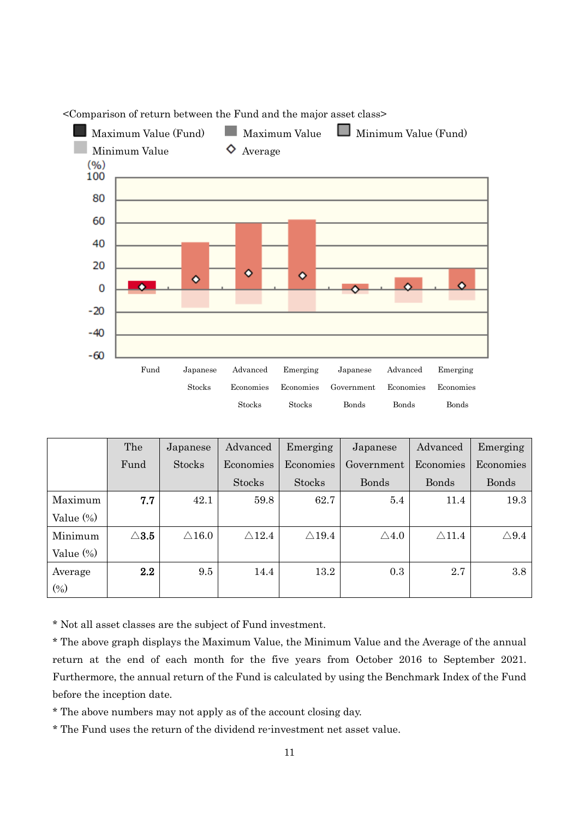

<Comparison of return between the Fund and the major asset class>

|              | The             | Japanese         | Advanced         | Emerging         | Japanese        | Advanced         | Emerging        |
|--------------|-----------------|------------------|------------------|------------------|-----------------|------------------|-----------------|
|              | Fund            | Stocks           | Economies        | Economies        | Government      | Economies        | Economies       |
|              |                 |                  | <b>Stocks</b>    | <b>Stocks</b>    | <b>Bonds</b>    | <b>Bonds</b>     | <b>Bonds</b>    |
| Maximum      | 7.7             | 42.1             | 59.8             | 62.7             | 5.4             | 11.4             | 19.3            |
| Value $(\%)$ |                 |                  |                  |                  |                 |                  |                 |
| Minimum      | $\triangle$ 3.5 | $\triangle 16.0$ | $\triangle$ 12.4 | $\triangle$ 19.4 | $\triangle 4.0$ | $\triangle$ 11.4 | $\triangle 9.4$ |
| Value (%)    |                 |                  |                  |                  |                 |                  |                 |
| Average      | 2.2             | 9.5              | 14.4             | 13.2             | 0.3             | 2.7              | 3.8             |
| $(\%)$       |                 |                  |                  |                  |                 |                  |                 |

\* Not all asset classes are the subject of Fund investment.

\* The above graph displays the Maximum Value, the Minimum Value and the Average of the annual return at the end of each month for the five years from October 2016 to September 2021. Furthermore, the annual return of the Fund is calculated by using the Benchmark Index of the Fund before the inception date.

\* The above numbers may not apply as of the account closing day.

\* The Fund uses the return of the dividend re-investment net asset value.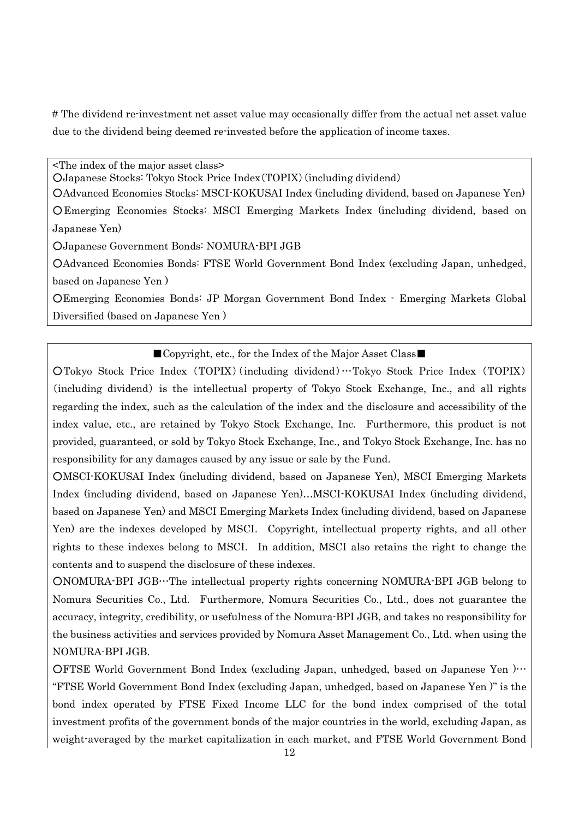# The dividend re-investment net asset value may occasionally differ from the actual net asset value due to the dividend being deemed re-invested before the application of income taxes.

<The index of the major asset class>

○Japanese Stocks: Tokyo Stock Price Index(TOPIX)(including dividend)

○Advanced Economies Stocks: MSCI-KOKUSAI Index (including dividend, based on Japanese Yen) ○Emerging Economies Stocks: MSCI Emerging Markets Index (including dividend, based on Japanese Yen)

○Japanese Government Bonds: NOMURA-BPI JGB

○Advanced Economies Bonds: FTSE World Government Bond Index (excluding Japan, unhedged, based on Japanese Yen )

○Emerging Economies Bonds: JP Morgan Government Bond Index - Emerging Markets Global Diversified (based on Japanese Yen )

#### ■Copyright, etc., for the Index of the Major Asset Class■

○Tokyo Stock Price Index (TOPIX)(including dividend)…Tokyo Stock Price Index (TOPIX) (including dividend) is the intellectual property of Tokyo Stock Exchange, Inc., and all rights regarding the index, such as the calculation of the index and the disclosure and accessibility of the index value, etc., are retained by Tokyo Stock Exchange, Inc. Furthermore, this product is not provided, guaranteed, or sold by Tokyo Stock Exchange, Inc., and Tokyo Stock Exchange, Inc. has no responsibility for any damages caused by any issue or sale by the Fund.

○MSCI-KOKUSAI Index (including dividend, based on Japanese Yen), MSCI Emerging Markets Index (including dividend, based on Japanese Yen)…MSCI-KOKUSAI Index (including dividend, based on Japanese Yen) and MSCI Emerging Markets Index (including dividend, based on Japanese Yen) are the indexes developed by MSCI. Copyright, intellectual property rights, and all other rights to these indexes belong to MSCI. In addition, MSCI also retains the right to change the contents and to suspend the disclosure of these indexes.

○NOMURA-BPI JGB…The intellectual property rights concerning NOMURA-BPI JGB belong to Nomura Securities Co., Ltd. Furthermore, Nomura Securities Co., Ltd., does not guarantee the accuracy, integrity, credibility, or usefulness of the Nomura-BPI JGB, and takes no responsibility for the business activities and services provided by Nomura Asset Management Co., Ltd. when using the NOMURA-BPI JGB.

○FTSE World Government Bond Index (excluding Japan, unhedged, based on Japanese Yen )… "FTSE World Government Bond Index (excluding Japan, unhedged, based on Japanese Yen )" is the bond index operated by FTSE Fixed Income LLC for the bond index comprised of the total investment profits of the government bonds of the major countries in the world, excluding Japan, as weight-averaged by the market capitalization in each market, and FTSE World Government Bond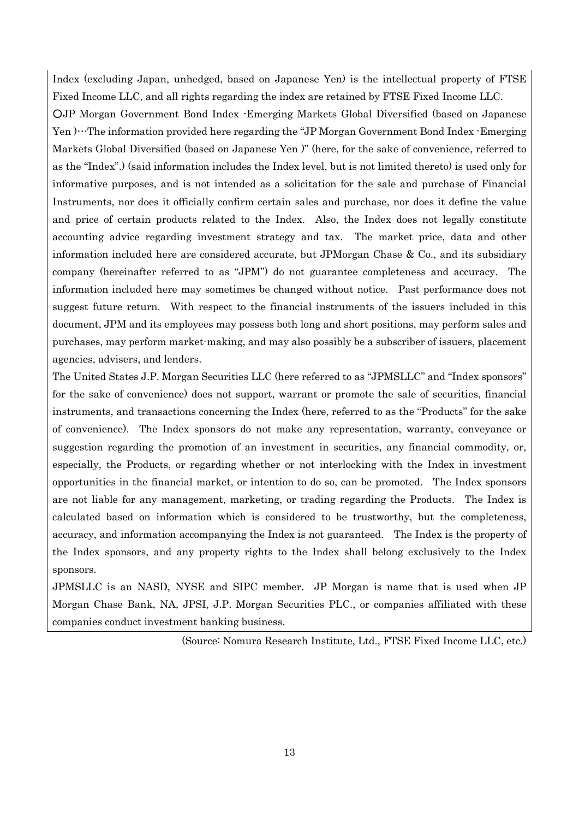Index (excluding Japan, unhedged, based on Japanese Yen) is the intellectual property of FTSE Fixed Income LLC, and all rights regarding the index are retained by FTSE Fixed Income LLC.

○JP Morgan Government Bond Index -Emerging Markets Global Diversified (based on Japanese Yen )…The information provided here regarding the "JP Morgan Government Bond Index -Emerging Markets Global Diversified (based on Japanese Yen )" (here, for the sake of convenience, referred to as the "Index".) (said information includes the Index level, but is not limited thereto) is used only for informative purposes, and is not intended as a solicitation for the sale and purchase of Financial Instruments, nor does it officially confirm certain sales and purchase, nor does it define the value and price of certain products related to the Index. Also, the Index does not legally constitute accounting advice regarding investment strategy and tax. The market price, data and other information included here are considered accurate, but JPMorgan Chase & Co., and its subsidiary company (hereinafter referred to as "JPM") do not guarantee completeness and accuracy. The information included here may sometimes be changed without notice. Past performance does not suggest future return. With respect to the financial instruments of the issuers included in this document, JPM and its employees may possess both long and short positions, may perform sales and purchases, may perform market-making, and may also possibly be a subscriber of issuers, placement agencies, advisers, and lenders.

The United States J.P. Morgan Securities LLC (here referred to as "JPMSLLC" and "Index sponsors" for the sake of convenience) does not support, warrant or promote the sale of securities, financial instruments, and transactions concerning the Index (here, referred to as the "Products" for the sake of convenience). The Index sponsors do not make any representation, warranty, conveyance or suggestion regarding the promotion of an investment in securities, any financial commodity, or, especially, the Products, or regarding whether or not interlocking with the Index in investment opportunities in the financial market, or intention to do so, can be promoted. The Index sponsors are not liable for any management, marketing, or trading regarding the Products. The Index is calculated based on information which is considered to be trustworthy, but the completeness, accuracy, and information accompanying the Index is not guaranteed. The Index is the property of the Index sponsors, and any property rights to the Index shall belong exclusively to the Index sponsors.

JPMSLLC is an NASD, NYSE and SIPC member. JP Morgan is name that is used when JP Morgan Chase Bank, NA, JPSI, J.P. Morgan Securities PLC., or companies affiliated with these companies conduct investment banking business.

(Source: Nomura Research Institute, Ltd., FTSE Fixed Income LLC, etc.)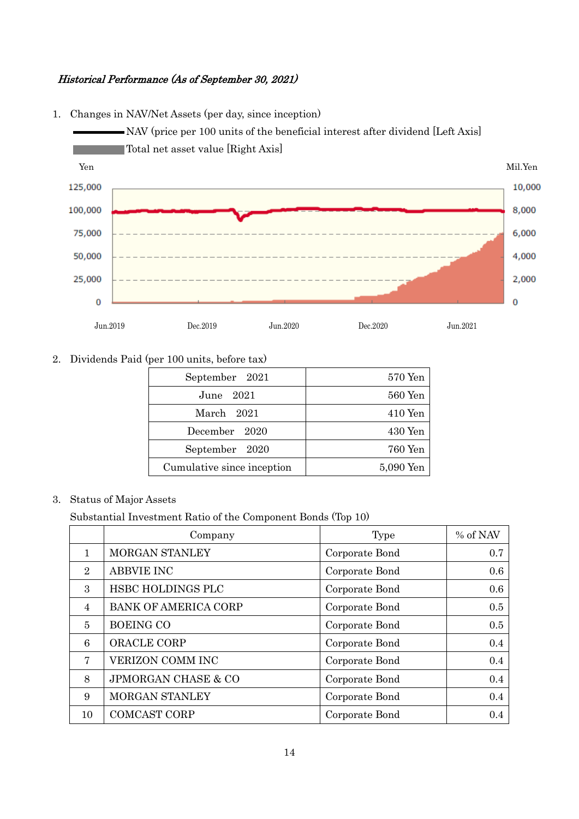### Historical Performance (As of September 30, 2021)



#### 1. Changes in NAV/Net Assets (per day, since inception)



| September 2021             | $570$ Yen |
|----------------------------|-----------|
| June 2021                  | 560 Yen   |
| March 2021                 | $410$ Yen |
| December 2020              | $430$ Yen |
| September 2020             | 760 Yen   |
| Cumulative since inception | 5,090 Yen |
|                            |           |

## 3. Status of Major Assets

Substantial Investment Ratio of the Component Bonds (Top 10)

|                | Company                        | Type           | % of NAV |
|----------------|--------------------------------|----------------|----------|
| $\mathbf{1}$   | <b>MORGAN STANLEY</b>          | Corporate Bond | 0.7      |
| $\overline{2}$ | <b>ABBVIE INC</b>              | Corporate Bond | 0.6      |
| $\mathcal{S}$  | HSBC HOLDINGS PLC              | Corporate Bond | 0.6      |
| $\overline{4}$ | <b>BANK OF AMERICA CORP</b>    | Corporate Bond | 0.5      |
| 5              | <b>BOEING CO</b>               | Corporate Bond | 0.5      |
| 6              | ORACLE CORP                    | Corporate Bond | 0.4      |
| $\tau$         | VERIZON COMM INC               | Corporate Bond | 0.4      |
| 8              | <b>JPMORGAN CHASE &amp; CO</b> | Corporate Bond | 0.4      |
| 9              | MORGAN STANLEY                 | Corporate Bond | 0.4      |
| 10             | <b>COMCAST CORP</b>            | Corporate Bond | 0.4      |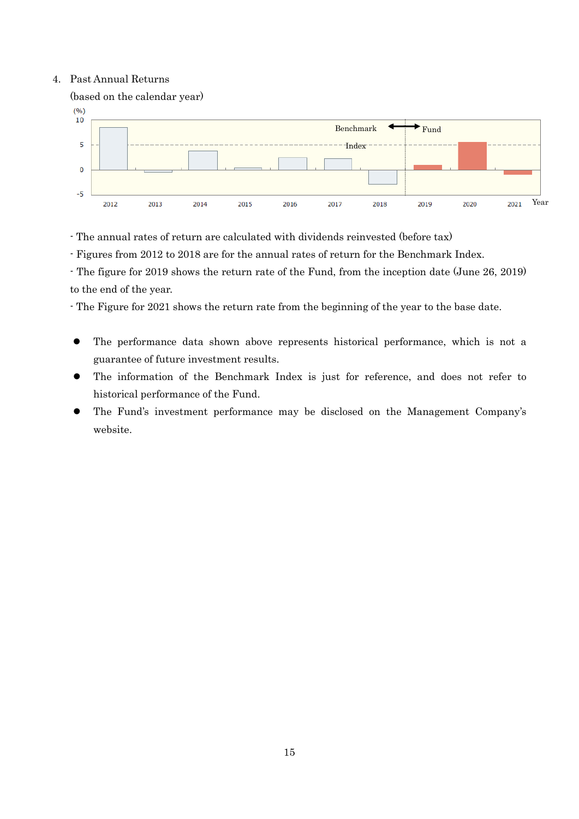#### 4. Past Annual Returns



- The annual rates of return are calculated with dividends reinvested (before tax)

- Figures from 2012 to 2018 are for the annual rates of return for the Benchmark Index.

- The figure for 2019 shows the return rate of the Fund, from the inception date (June 26, 2019) to the end of the year.

- The Figure for 2021 shows the return rate from the beginning of the year to the base date.

- The performance data shown above represents historical performance, which is not a guarantee of future investment results.
- The information of the Benchmark Index is just for reference, and does not refer to historical performance of the Fund.
- The Fund's investment performance may be disclosed on the Management Company's website.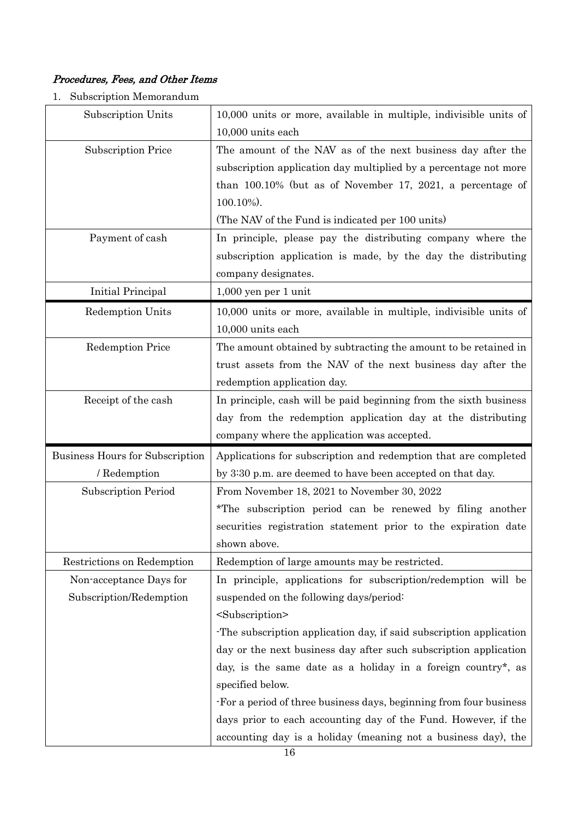## Procedures, Fees, and Other Items

1. Subscription Memorandum

| Subscription Units              | 10,000 units or more, available in multiple, indivisible units of  |  |  |
|---------------------------------|--------------------------------------------------------------------|--|--|
|                                 | 10,000 units each                                                  |  |  |
| <b>Subscription Price</b>       | The amount of the NAV as of the next business day after the        |  |  |
|                                 | subscription application day multiplied by a percentage not more   |  |  |
|                                 | than $100.10\%$ (but as of November 17, 2021, a percentage of      |  |  |
|                                 | $100.10\%$ ).                                                      |  |  |
|                                 | (The NAV of the Fund is indicated per 100 units)                   |  |  |
| Payment of cash                 | In principle, please pay the distributing company where the        |  |  |
|                                 | subscription application is made, by the day the distributing      |  |  |
|                                 | company designates.                                                |  |  |
| Initial Principal               | 1,000 yen per 1 unit                                               |  |  |
| <b>Redemption Units</b>         | 10,000 units or more, available in multiple, indivisible units of  |  |  |
|                                 | 10,000 units each                                                  |  |  |
| <b>Redemption Price</b>         | The amount obtained by subtracting the amount to be retained in    |  |  |
|                                 | trust assets from the NAV of the next business day after the       |  |  |
|                                 | redemption application day.                                        |  |  |
| Receipt of the cash             | In principle, cash will be paid beginning from the sixth business  |  |  |
|                                 | day from the redemption application day at the distributing        |  |  |
|                                 |                                                                    |  |  |
|                                 | company where the application was accepted.                        |  |  |
| Business Hours for Subscription | Applications for subscription and redemption that are completed    |  |  |
| / Redemption                    | by 3:30 p.m. are deemed to have been accepted on that day.         |  |  |
| Subscription Period             | From November 18, 2021 to November 30, 2022                        |  |  |
|                                 | *The subscription period can be renewed by filing another          |  |  |
|                                 | securities registration statement prior to the expiration date     |  |  |
|                                 | shown above.                                                       |  |  |
| Restrictions on Redemption      | Redemption of large amounts may be restricted.                     |  |  |
| Non-acceptance Days for         | In principle, applications for subscription/redemption will be     |  |  |
| Subscription/Redemption         | suspended on the following days/period:                            |  |  |
|                                 | <subscription></subscription>                                      |  |  |
|                                 | The subscription application day, if said subscription application |  |  |
|                                 | day or the next business day after such subscription application   |  |  |
|                                 | day, is the same date as a holiday in a foreign country*, as       |  |  |
|                                 | specified below.                                                   |  |  |
|                                 | -For a period of three business days, beginning from four business |  |  |
|                                 | days prior to each accounting day of the Fund. However, if the     |  |  |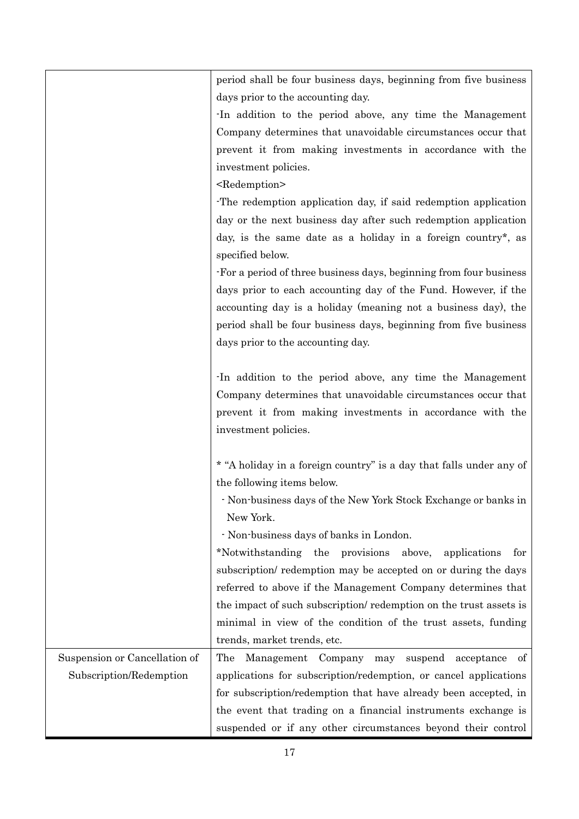|                               | period shall be four business days, beginning from five business    |
|-------------------------------|---------------------------------------------------------------------|
|                               | days prior to the accounting day.                                   |
|                               | In addition to the period above, any time the Management            |
|                               | Company determines that unavoidable circumstances occur that        |
|                               | prevent it from making investments in accordance with the           |
|                               | investment policies.                                                |
|                               | <redemption></redemption>                                           |
|                               | The redemption application day, if said redemption application      |
|                               | day or the next business day after such redemption application      |
|                               | day, is the same date as a holiday in a foreign country*, as        |
|                               | specified below.                                                    |
|                               |                                                                     |
|                               | For a period of three business days, beginning from four business   |
|                               | days prior to each accounting day of the Fund. However, if the      |
|                               | accounting day is a holiday (meaning not a business day), the       |
|                               | period shall be four business days, beginning from five business    |
|                               | days prior to the accounting day.                                   |
|                               |                                                                     |
|                               | In addition to the period above, any time the Management            |
|                               | Company determines that unavoidable circumstances occur that        |
|                               | prevent it from making investments in accordance with the           |
|                               | investment policies.                                                |
|                               |                                                                     |
|                               | * "A holiday in a foreign country" is a day that falls under any of |
|                               | the following items below.                                          |
|                               | Non-business days of the New York Stock Exchange or banks in        |
|                               | New York.                                                           |
|                               | - Non-business days of banks in London.                             |
|                               | *Notwithstanding the provisions<br>above,<br>applications<br>for    |
|                               | subscription/ redemption may be accepted on or during the days      |
|                               | referred to above if the Management Company determines that         |
|                               | the impact of such subscription/redemption on the trust assets is   |
|                               | minimal in view of the condition of the trust assets, funding       |
|                               | trends, market trends, etc.                                         |
| Suspension or Cancellation of | The<br>Management Company<br>suspend<br>acceptance<br>may<br>οf     |
| Subscription/Redemption       | applications for subscription/redemption, or cancel applications    |
|                               | for subscription/redemption that have already been accepted, in     |
|                               | the event that trading on a financial instruments exchange is       |
|                               | suspended or if any other circumstances beyond their control        |
|                               |                                                                     |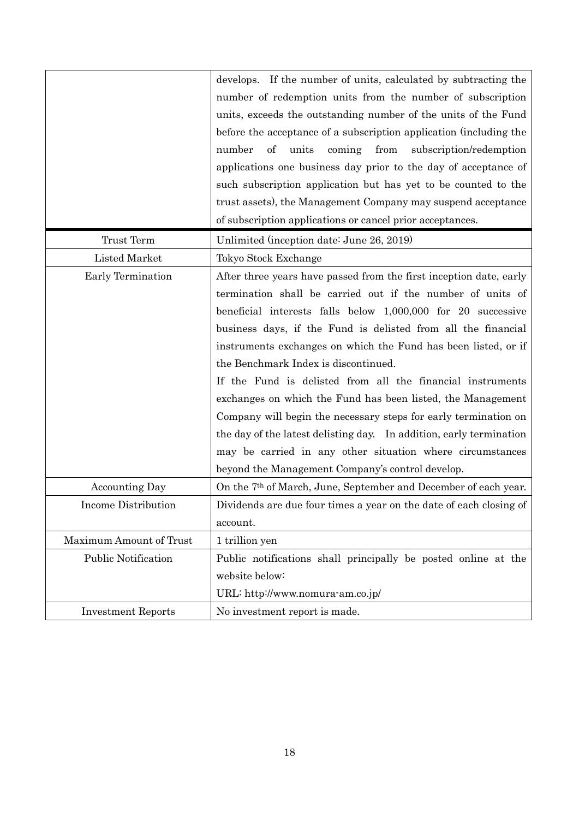|                            | develops. If the number of units, calculated by subtracting the<br>number of redemption units from the number of subscription<br>units, exceeds the outstanding number of the units of the Fund<br>before the acceptance of a subscription application (including the<br>$\sigma f$<br>units<br>coming<br>from<br>subscription/redemption<br>number<br>applications one business day prior to the day of acceptance of<br>such subscription application but has yet to be counted to the                                                                                                                                                                                                                                                                            |
|----------------------------|---------------------------------------------------------------------------------------------------------------------------------------------------------------------------------------------------------------------------------------------------------------------------------------------------------------------------------------------------------------------------------------------------------------------------------------------------------------------------------------------------------------------------------------------------------------------------------------------------------------------------------------------------------------------------------------------------------------------------------------------------------------------|
|                            | trust assets), the Management Company may suspend acceptance<br>of subscription applications or cancel prior acceptances.                                                                                                                                                                                                                                                                                                                                                                                                                                                                                                                                                                                                                                           |
| Trust Term                 | Unlimited (inception date: June 26, 2019)                                                                                                                                                                                                                                                                                                                                                                                                                                                                                                                                                                                                                                                                                                                           |
| <b>Listed Market</b>       | Tokyo Stock Exchange                                                                                                                                                                                                                                                                                                                                                                                                                                                                                                                                                                                                                                                                                                                                                |
| Early Termination          | After three years have passed from the first inception date, early<br>termination shall be carried out if the number of units of<br>beneficial interests falls below 1,000,000 for 20 successive<br>business days, if the Fund is delisted from all the financial<br>instruments exchanges on which the Fund has been listed, or if<br>the Benchmark Index is discontinued.<br>If the Fund is delisted from all the financial instruments<br>exchanges on which the Fund has been listed, the Management<br>Company will begin the necessary steps for early termination on<br>the day of the latest delisting day. In addition, early termination<br>may be carried in any other situation where circumstances<br>beyond the Management Company's control develop. |
| <b>Accounting Day</b>      | On the 7 <sup>th</sup> of March, June, September and December of each year.                                                                                                                                                                                                                                                                                                                                                                                                                                                                                                                                                                                                                                                                                         |
| Income Distribution        | Dividends are due four times a year on the date of each closing of<br>account.                                                                                                                                                                                                                                                                                                                                                                                                                                                                                                                                                                                                                                                                                      |
| Maximum Amount of Trust    | 1 trillion yen                                                                                                                                                                                                                                                                                                                                                                                                                                                                                                                                                                                                                                                                                                                                                      |
| <b>Public Notification</b> | Public notifications shall principally be posted online at the<br>website below:<br>URL: http://www.nomura-am.co.jp/                                                                                                                                                                                                                                                                                                                                                                                                                                                                                                                                                                                                                                                |
| <b>Investment Reports</b>  | No investment report is made.                                                                                                                                                                                                                                                                                                                                                                                                                                                                                                                                                                                                                                                                                                                                       |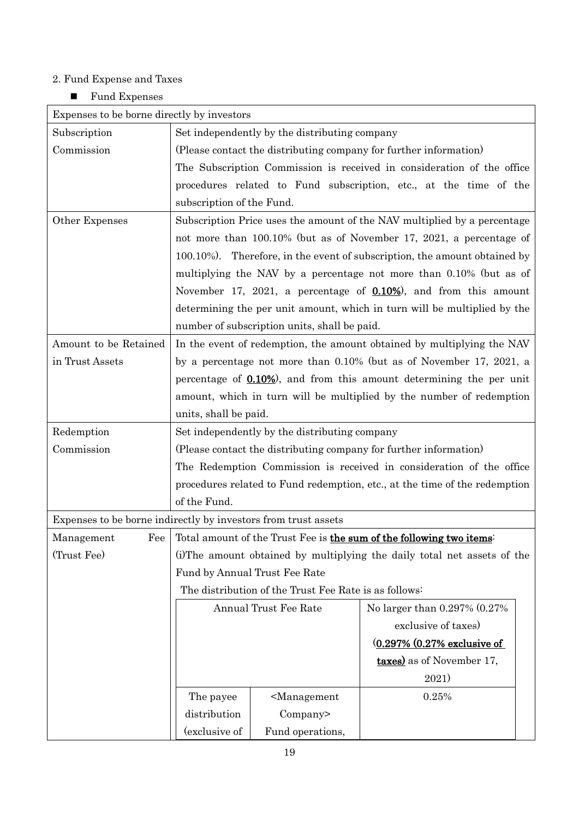# 2. Fund Expense and Taxes

■ Fund Expenses

| Expenses to be borne directly by investors |                                                                            |                                                       |                                                                            |  |  |  |
|--------------------------------------------|----------------------------------------------------------------------------|-------------------------------------------------------|----------------------------------------------------------------------------|--|--|--|
| Subscription                               | Set independently by the distributing company                              |                                                       |                                                                            |  |  |  |
| Commission                                 | (Please contact the distributing company for further information)          |                                                       |                                                                            |  |  |  |
|                                            |                                                                            |                                                       | The Subscription Commission is received in consideration of the office     |  |  |  |
|                                            | procedures related to Fund subscription, etc., at the time of the          |                                                       |                                                                            |  |  |  |
|                                            | subscription of the Fund.                                                  |                                                       |                                                                            |  |  |  |
| Other Expenses                             | Subscription Price uses the amount of the NAV multiplied by a percentage   |                                                       |                                                                            |  |  |  |
|                                            | not more than 100.10% (but as of November 17, 2021, a percentage of        |                                                       |                                                                            |  |  |  |
|                                            | 100.10%). Therefore, in the event of subscription, the amount obtained by  |                                                       |                                                                            |  |  |  |
|                                            |                                                                            |                                                       | multiplying the NAV by a percentage not more than 0.10% (but as of         |  |  |  |
|                                            |                                                                            |                                                       | November 17, 2021, a percentage of $0.10\%$ , and from this amount         |  |  |  |
|                                            |                                                                            |                                                       | determining the per unit amount, which in turn will be multiplied by the   |  |  |  |
|                                            |                                                                            | number of subscription units, shall be paid.          |                                                                            |  |  |  |
| Amount to be Retained                      |                                                                            |                                                       | In the event of redemption, the amount obtained by multiplying the NAV     |  |  |  |
| in Trust Assets                            |                                                                            |                                                       | by a percentage not more than 0.10% (but as of November 17, 2021, a        |  |  |  |
|                                            |                                                                            |                                                       | percentage of 0.10%), and from this amount determining the per unit        |  |  |  |
|                                            |                                                                            |                                                       | amount, which in turn will be multiplied by the number of redemption       |  |  |  |
|                                            | units, shall be paid.                                                      |                                                       |                                                                            |  |  |  |
| Redemption                                 |                                                                            | Set independently by the distributing company         |                                                                            |  |  |  |
| Commission                                 | (Please contact the distributing company for further information)          |                                                       |                                                                            |  |  |  |
|                                            |                                                                            |                                                       | The Redemption Commission is received in consideration of the office       |  |  |  |
|                                            | procedures related to Fund redemption, etc., at the time of the redemption |                                                       |                                                                            |  |  |  |
|                                            | of the Fund.                                                               |                                                       |                                                                            |  |  |  |
|                                            | Expenses to be borne indirectly by investors from trust assets             |                                                       |                                                                            |  |  |  |
| Management                                 |                                                                            |                                                       | Fee   Total amount of the Trust Fee is the sum of the following two items: |  |  |  |
| (Trust Fee)                                |                                                                            |                                                       | (i) The amount obtained by multiplying the daily total net assets of the   |  |  |  |
|                                            | Fund by Annual Trust Fee Rate                                              |                                                       |                                                                            |  |  |  |
|                                            |                                                                            | The distribution of the Trust Fee Rate is as follows: |                                                                            |  |  |  |
|                                            |                                                                            | Annual Trust Fee Rate                                 | No larger than 0.297% (0.27%)                                              |  |  |  |
|                                            |                                                                            |                                                       | exclusive of taxes)                                                        |  |  |  |
|                                            |                                                                            |                                                       | (0.297% (0.27% exclusive of                                                |  |  |  |
|                                            |                                                                            |                                                       | <b>taxes</b> ) as of November 17,                                          |  |  |  |
|                                            |                                                                            |                                                       | 2021)                                                                      |  |  |  |
|                                            | <management<br>The payee</management<br>                                   |                                                       | 0.25%                                                                      |  |  |  |
|                                            | distribution<br>Company>                                                   |                                                       |                                                                            |  |  |  |
|                                            | (exclusive of                                                              | Fund operations,                                      |                                                                            |  |  |  |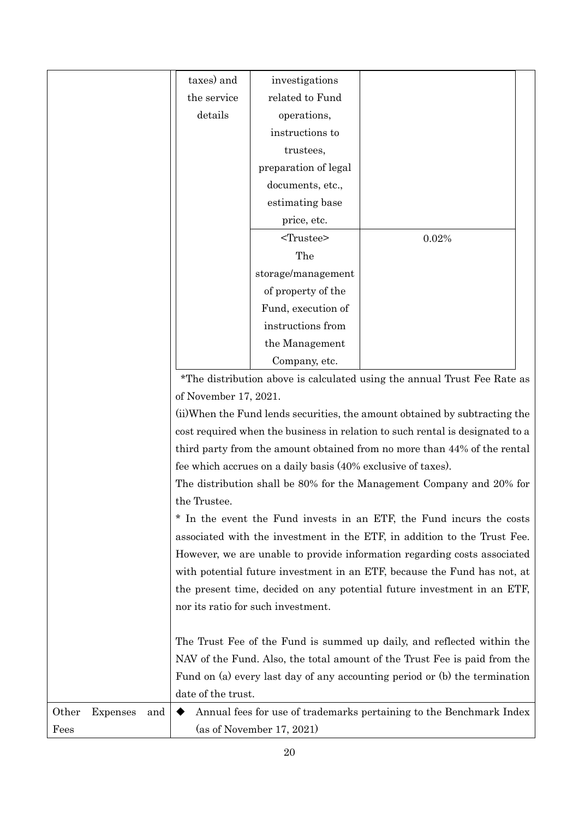|       |          |     | taxes) and                                                                    | investigations            |                                                                            |  |  |
|-------|----------|-----|-------------------------------------------------------------------------------|---------------------------|----------------------------------------------------------------------------|--|--|
|       |          |     | the service                                                                   | related to Fund           |                                                                            |  |  |
|       |          |     | details                                                                       | operations,               |                                                                            |  |  |
|       |          |     |                                                                               | instructions to           |                                                                            |  |  |
|       |          |     |                                                                               | trustees,                 |                                                                            |  |  |
|       |          |     |                                                                               | preparation of legal      |                                                                            |  |  |
|       |          |     |                                                                               | documents, etc.,          |                                                                            |  |  |
|       |          |     |                                                                               | estimating base           |                                                                            |  |  |
|       |          |     |                                                                               | price, etc.               |                                                                            |  |  |
|       |          |     |                                                                               | <trustee></trustee>       | 0.02%                                                                      |  |  |
|       |          |     |                                                                               | The                       |                                                                            |  |  |
|       |          |     |                                                                               | storage/management        |                                                                            |  |  |
|       |          |     |                                                                               | of property of the        |                                                                            |  |  |
|       |          |     |                                                                               | Fund, execution of        |                                                                            |  |  |
|       |          |     |                                                                               | instructions from         |                                                                            |  |  |
|       |          |     |                                                                               | the Management            |                                                                            |  |  |
|       |          |     |                                                                               | Company, etc.             |                                                                            |  |  |
|       |          |     |                                                                               |                           | *The distribution above is calculated using the annual Trust Fee Rate as   |  |  |
|       |          |     | of November 17, 2021.                                                         |                           |                                                                            |  |  |
|       |          |     | (ii) When the Fund lends securities, the amount obtained by subtracting the   |                           |                                                                            |  |  |
|       |          |     | cost required when the business in relation to such rental is designated to a |                           |                                                                            |  |  |
|       |          |     | third party from the amount obtained from no more than 44% of the rental      |                           |                                                                            |  |  |
|       |          |     | fee which accrues on a daily basis (40% exclusive of taxes).                  |                           |                                                                            |  |  |
|       |          |     | The distribution shall be 80% for the Management Company and 20% for          |                           |                                                                            |  |  |
|       |          |     | the Trustee.                                                                  |                           |                                                                            |  |  |
|       |          |     | * In the event the Fund invests in an ETF, the Fund incurs the costs          |                           |                                                                            |  |  |
|       |          |     | associated with the investment in the ETF, in addition to the Trust Fee.      |                           |                                                                            |  |  |
|       |          |     | However, we are unable to provide information regarding costs associated      |                           |                                                                            |  |  |
|       |          |     | with potential future investment in an ETF, because the Fund has not, at      |                           |                                                                            |  |  |
|       |          |     | the present time, decided on any potential future investment in an ETF,       |                           |                                                                            |  |  |
|       |          |     | nor its ratio for such investment.                                            |                           |                                                                            |  |  |
|       |          |     |                                                                               |                           |                                                                            |  |  |
|       |          |     | The Trust Fee of the Fund is summed up daily, and reflected within the        |                           |                                                                            |  |  |
|       |          |     | NAV of the Fund. Also, the total amount of the Trust Fee is paid from the     |                           |                                                                            |  |  |
|       |          |     |                                                                               |                           | Fund on (a) every last day of any accounting period or (b) the termination |  |  |
|       |          |     | date of the trust.                                                            |                           |                                                                            |  |  |
| Other | Expenses | and | Annual fees for use of trademarks pertaining to the Benchmark Index           |                           |                                                                            |  |  |
| Fees  |          |     |                                                                               | (as of November 17, 2021) |                                                                            |  |  |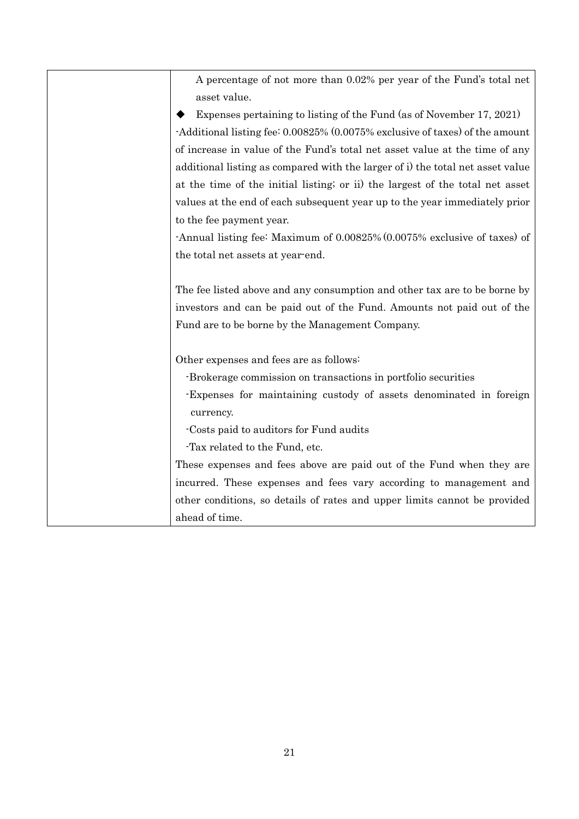| A percentage of not more than 0.02% per year of the Fund's total net           |
|--------------------------------------------------------------------------------|
| asset value.                                                                   |
| Expenses pertaining to listing of the Fund (as of November 17, 2021)           |
| -Additional listing fee: 0.00825% (0.0075% exclusive of taxes) of the amount   |
| of increase in value of the Fund's total net asset value at the time of any    |
| additional listing as compared with the larger of i) the total net asset value |
| at the time of the initial listing; or ii) the largest of the total net asset  |
| values at the end of each subsequent year up to the year immediately prior     |
| to the fee payment year.                                                       |
| -Annual listing fee: Maximum of 0.00825% (0.0075% exclusive of taxes) of       |
| the total net assets at year-end.                                              |
|                                                                                |
| The fee listed above and any consumption and other tax are to be borne by      |
| investors and can be paid out of the Fund. Amounts not paid out of the         |
| Fund are to be borne by the Management Company.                                |
|                                                                                |
| Other expenses and fees are as follows:                                        |
| -Brokerage commission on transactions in portfolio securities                  |
| Expenses for maintaining custody of assets denominated in foreign              |
| currency.                                                                      |
| -Costs paid to auditors for Fund audits                                        |
| Tax related to the Fund, etc.                                                  |
| These expenses and fees above are paid out of the Fund when they are           |
| incurred. These expenses and fees vary according to management and             |
| other conditions, so details of rates and upper limits cannot be provided      |
| ahead of time.                                                                 |